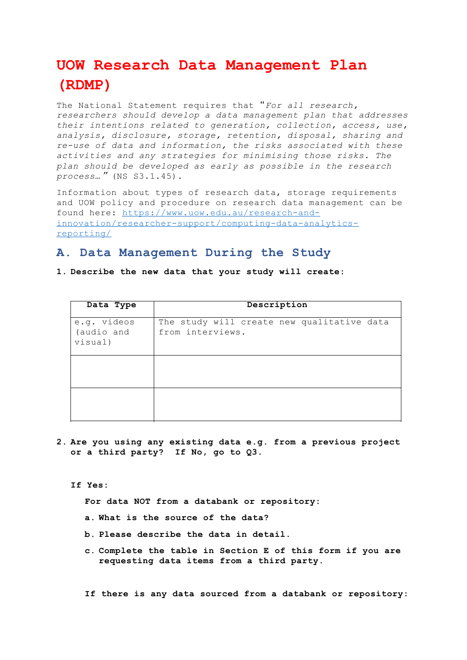# **UOW Research Data Management Plan (RDMP)**

The National Statement requires that "*For all research, researchers should develop a data management plan that addresses their intentions related to generation, collection, access, use, analysis, disclosure, storage, retention, disposal, sharing and re-use of data and information, the risks associated with these activities and any strategies for minimising those risks. The plan should be developed as early as possible in the research process*…" (NS S3.1.45).

Information about types of research data, storage requirements and UOW policy and procedure on research data management can be found here: https://www.uow.edu.au/research-andinnovation/researcher-support/computing-data-analyticsreporting/

# **A. Data Management During the Study**

#### **1. Describe the new data that your study will create:**

| Data Type                            | Description                                                    |  |  |  |
|--------------------------------------|----------------------------------------------------------------|--|--|--|
| e.g. videos<br>(audio and<br>visual) | The study will create new qualitative data<br>from interviews. |  |  |  |
|                                      |                                                                |  |  |  |
|                                      |                                                                |  |  |  |

**2. Are you using any existing data e.g. from a previous project or a third party? If No, go to Q3.**

**If Yes:**

**For data NOT from a databank or repository:**

- **a. What is the source of the data?**
- **b. Please describe the data in detail.**
- **c. Complete the table in Section E of this form if you are requesting data items from a third party.**

**If there is any data sourced from a databank or repository:**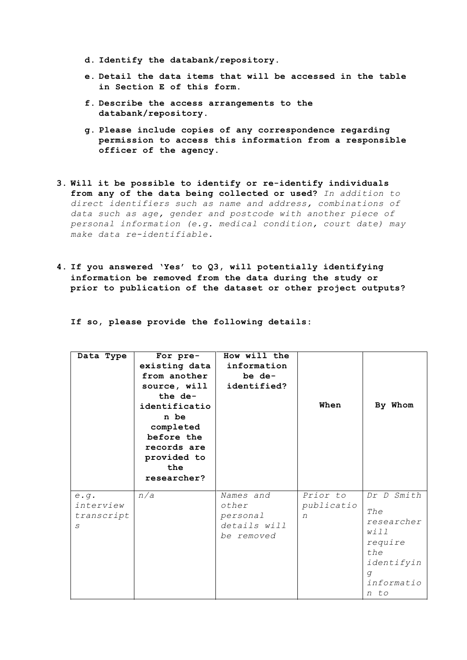- **d. Identify the databank/repository.**
- **e. Detail the data items that will be accessed in the table in Section E of this form.**
- **f. Describe the access arrangements to the databank/repository.**
- **g. Please include copies of any correspondence regarding permission to access this information from a responsible officer of the agency.**
- **3. Will it be possible to identify or re-identify individuals from any of the data being collected or used?** *In addition to direct identifiers such as name and address, combinations of data such as age, gender and postcode with another piece of personal information (e.g. medical condition, court date) may make data re-identifiable.*
- **4. If you answered 'Yes' to Q3, will potentially identifying information be removed from the data during the study or prior to publication of the dataset or other project outputs?**

**If so, please provide the following details:**

| Data Type                            | For pre-<br>existing data<br>from another<br>source, will<br>the de-<br>identificatio<br>n be<br>completed<br>before the<br>records are<br>provided to<br>the<br>researcher? | How will the<br>information<br>be de-<br>identified?         | When                        | By Whom                                                                                            |
|--------------------------------------|------------------------------------------------------------------------------------------------------------------------------------------------------------------------------|--------------------------------------------------------------|-----------------------------|----------------------------------------------------------------------------------------------------|
| e.g.<br>interview<br>transcript<br>S | n/a                                                                                                                                                                          | Names and<br>other<br>personal<br>details will<br>be removed | Prior to<br>publicatio<br>n | Dr D Smith<br>The<br>researcher<br>will<br>require<br>the<br>identifyin<br>q<br>informatio<br>n to |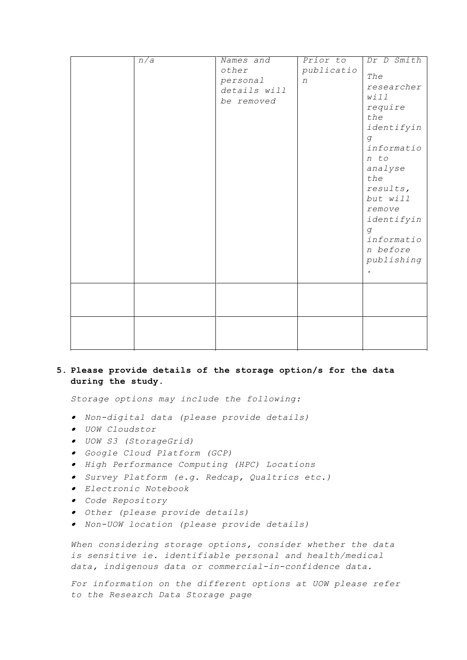| $\overline{n/a}$ | Names and<br>other<br>personal<br>details will<br>be removed | Prior to<br>publicatio<br>n | Dr D Smith<br>The<br>researcher<br>will<br>require<br>the<br>identifyin<br>g<br>informatio<br>n to<br>analyse<br>the<br>results,<br>but will<br>remove<br>identifyin<br>$\mathcal{G}% _{0}$<br>informatio<br>n before<br>publishing<br>$\bullet$ |
|------------------|--------------------------------------------------------------|-----------------------------|--------------------------------------------------------------------------------------------------------------------------------------------------------------------------------------------------------------------------------------------------|
|                  |                                                              |                             |                                                                                                                                                                                                                                                  |
|                  |                                                              |                             |                                                                                                                                                                                                                                                  |

### **5. Please provide details of the storage option/s for the data during the study.**

*Storage options may include the following:*

- *Non-digital data (please provide details)*
- *UOW Cloudstor*
- *UOW S3 (StorageGrid)*
- *Google Cloud Platform (GCP)*
- *High Performance Computing (HPC) Locations*
- *Survey Platform (e.g. Redcap, Qualtrics etc.)*
- *Electronic Notebook*
- *Code Repository*
- *Other (please provide details)*
- *Non-UOW location (please provide details)*

*When considering storage options, consider whether the data is sensitive ie. identifiable personal and health/medical data, indigenous data or commercial-in-confidence data.*

*For information on the different options at UOW please refer to the Research Data Storage page*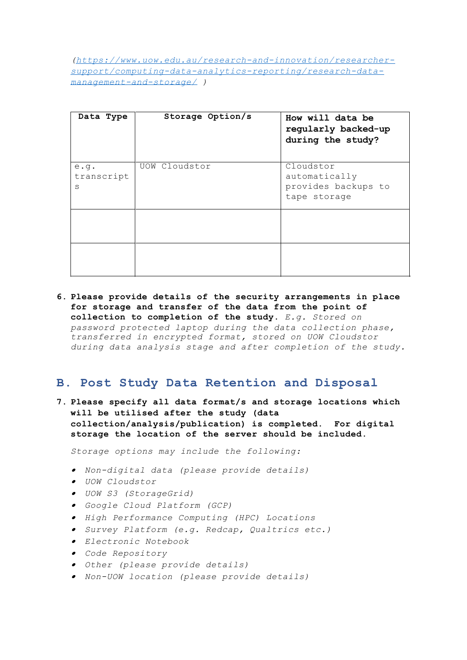*(https://www.uow.edu.au/research-and-innovation/researchersupport/computing-data-analytics-reporting/research-datamanagement-and-storage/ )*

| Data Type               | Storage Option/s | How will data be<br>regularly backed-up<br>during the study?      |
|-------------------------|------------------|-------------------------------------------------------------------|
| e.9.<br>transcript<br>S | UOW Cloudstor    | Cloudstor<br>automatically<br>provides backups to<br>tape storage |
|                         |                  |                                                                   |
|                         |                  |                                                                   |

**6. Please provide details of the security arrangements in place for storage and transfer of the data from the point of collection to completion of the study.** *E.g. Stored on password protected laptop during the data collection phase, transferred in encrypted format, stored on UOW Cloudstor during data analysis stage and after completion of the study.*

# **B. Post Study Data Retention and Disposal**

**7. Please specify all data format/s and storage locations which will be utilised after the study (data collection/analysis/publication) is completed. For digital storage the location of the server should be included.**

*Storage options may include the following:*

- *Non-digital data (please provide details)*
- *UOW Cloudstor*
- *UOW S3 (StorageGrid)*
- *Google Cloud Platform (GCP)*
- *High Performance Computing (HPC) Locations*
- *Survey Platform (e.g. Redcap, Qualtrics etc.)*
- *Electronic Notebook*
- *Code Repository*
- *Other (please provide details)*
- *Non-UOW location (please provide details)*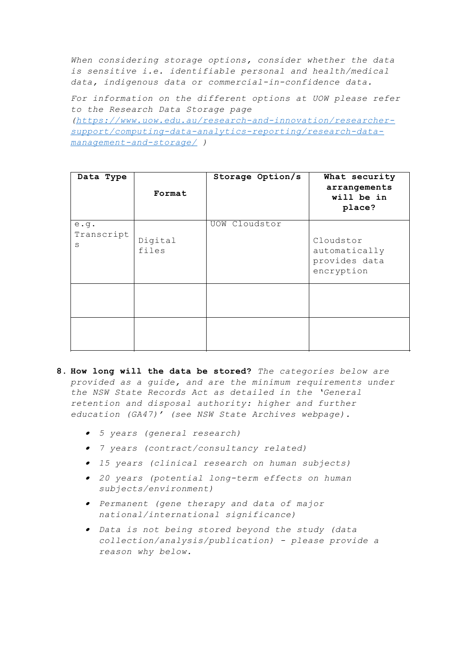*When considering storage options, consider whether the data is sensitive i.e. identifiable personal and health/medical data, indigenous data or commercial-in-confidence data.*

*For information on the different options at UOW please refer to the Research Data Storage page (https://www.uow.edu.au/research-and-innovation/researchersupport/computing-data-analytics-reporting/research-datamanagement-and-storage/ )*

| Data Type               | Format           | Storage Option/s | What security<br>arrangements<br>will be in<br>place?     |
|-------------------------|------------------|------------------|-----------------------------------------------------------|
| e.g.<br>Transcript<br>S | Digital<br>files | UOW Cloudstor    | Cloudstor<br>automatically<br>provides data<br>encryption |
|                         |                  |                  |                                                           |
|                         |                  |                  |                                                           |

- **8. How long will the data be stored?** *The categories below are provided as a guide, and are the minimum requirements under the NSW State Records Act as detailed in the 'General retention and disposal authority: higher and further education (GA47)' (see NSW State Archives webpage).*
	- *5 years (general research)*
	- *7 years (contract/consultancy related)*
	- *15 years (clinical research on human subjects)*
	- *20 years (potential long-term effects on human subjects/environment)*
	- *Permanent (gene therapy and data of major national/international significance)*
	- *Data is not being stored beyond the study (data collection/analysis/publication) - please provide a reason why below.*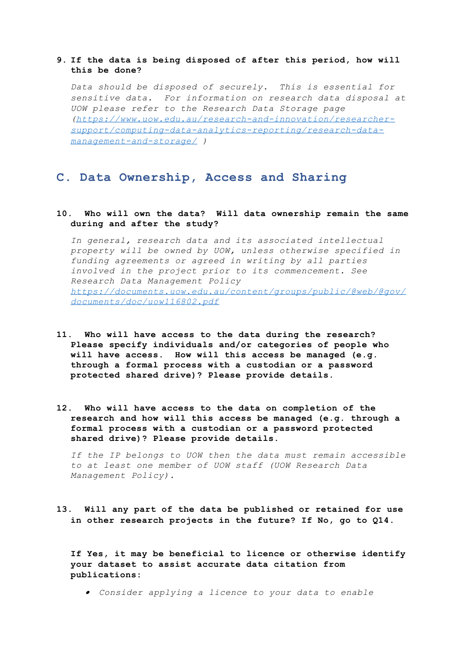#### **9. If the data is being disposed of after this period, how will this be done?**

*Data should be disposed of securely. This is essential for sensitive data. For information on research data disposal at UOW please refer to the Research Data Storage page (https://www.uow.edu.au/research-and-innovation/researchersupport/computing-data-analytics-reporting/research-datamanagement-and-storage/ )*

## **C. Data Ownership, Access and Sharing**

#### **10. Who will own the data? Will data ownership remain the same during and after the study?**

*In general, research data and its associated intellectual property will be owned by UOW, unless otherwise specified in funding agreements or agreed in writing by all parties involved in the project prior to its commencement. See Research Data Management Policy https://documents.uow.edu.au/content/groups/public/@web/@gov/ documents/doc/uow116802.pdf*

- **11. Who will have access to the data during the research? Please specify individuals and/or categories of people who will have access. How will this access be managed (e.g. through a formal process with a custodian or a password protected shared drive)? Please provide details.**
- **12. Who will have access to the data on completion of the research and how will this access be managed (e.g. through a formal process with a custodian or a password protected shared drive)? Please provide details.**

*If the IP belongs to UOW then the data must remain accessible to at least one member of UOW staff (UOW Research Data Management Policy).*

**13. Will any part of the data be published or retained for use in other research projects in the future? If No, go to Q14.**

**If Yes, it may be beneficial to licence or otherwise identify your dataset to assist accurate data citation from publications:**

*Consider applying a licence to your data to enable*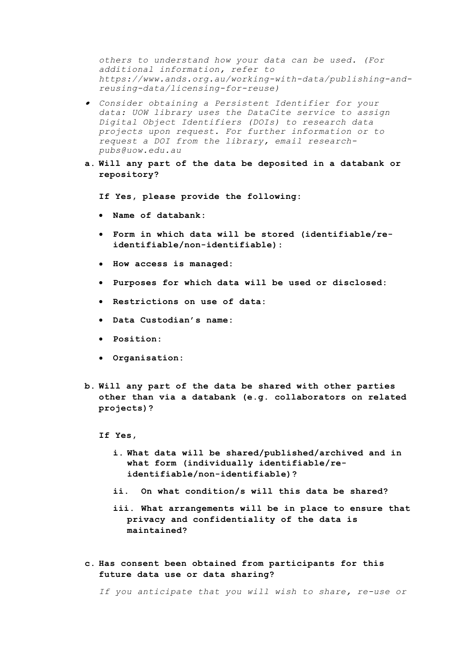*others to understand how your data can be used. (For additional information, refer to https://www.ands.org.au/working-with-data/publishing-andreusing-data/licensing-for-reuse)*

- *Consider obtaining a Persistent Identifier for your data: UOW library uses the DataCite service to assign Digital Object Identifiers (DOIs) to research data projects upon request. For further information or to request a DOI from the library, email researchpubs@uow.edu.au*
- **a. Will any part of the data be deposited in a databank or repository?**

**If Yes, please provide the following:**

- **Name of databank:**
- **Form in which data will be stored (identifiable/reidentifiable/non-identifiable):**
- **How access is managed:**
- **Purposes for which data will be used or disclosed:**
- **Restrictions on use of data:**
- **Data Custodian's name:**
- **Position:**
- **Organisation:**
- **b. Will any part of the data be shared with other parties other than via a databank (e.g. collaborators on related projects)?**
	- **If Yes,**
		- **i. What data will be shared/published/archived and in what form (individually identifiable/reidentifiable/non-identifiable)?**
		- **ii. On what condition/s will this data be shared?**
		- **iii. What arrangements will be in place to ensure that privacy and confidentiality of the data is maintained?**
- **c. Has consent been obtained from participants for this future data use or data sharing?**

*If you anticipate that you will wish to share, re-use or*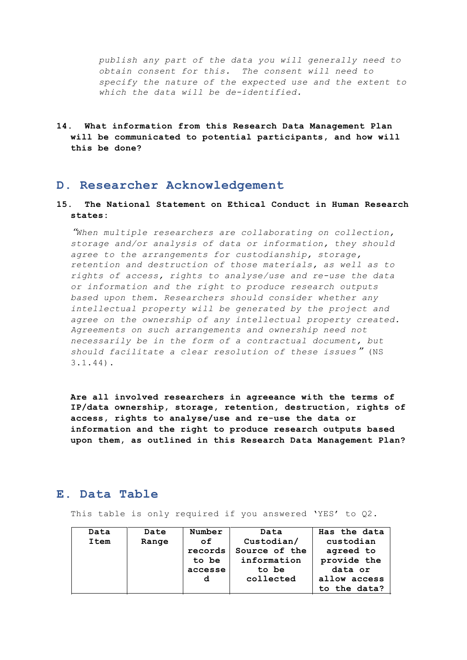*publish any part of the data you will generally need to obtain consent for this. The consent will need to specify the nature of the expected use and the extent to which the data will be de-identified.*

**14. What information from this Research Data Management Plan will be communicated to potential participants, and how will this be done?**

## **D. Researcher Acknowledgement**

### **15. The National Statement on Ethical Conduct in Human Research states:**

"*When multiple researchers are collaborating on collection, storage and/or analysis of data or information, they should agree to the arrangements for custodianship, storage, retention and destruction of those materials, as well as to rights of access, rights to analyse/use and re-use the data or information and the right to produce research outputs based upon them. Researchers should consider whether any intellectual property will be generated by the project and agree on the ownership of any intellectual property created. Agreements on such arrangements and ownership need not necessarily be in the form of a contractual document, but should facilitate a clear resolution of these issues*" (NS 3.1.44).

**Are all involved researchers in agreeance with the terms of IP/data ownership, storage, retention, destruction, rights of access, rights to analyse/use and re-use the data or information and the right to produce research outputs based upon them, as outlined in this Research Data Management Plan?**

# **E. Data Table**

This table is only required if you answered 'YES' to Q2.

| Data | Date  | Number  | Data          | Has the data |
|------|-------|---------|---------------|--------------|
| Item | Range | of      | Custodian/    | custodian    |
|      |       | records | Source of the | agreed to    |
|      |       | to be   | information   | provide the  |
|      |       | accesse | to be         | data or      |
|      |       | d       | collected     | allow access |
|      |       |         |               | to the data? |